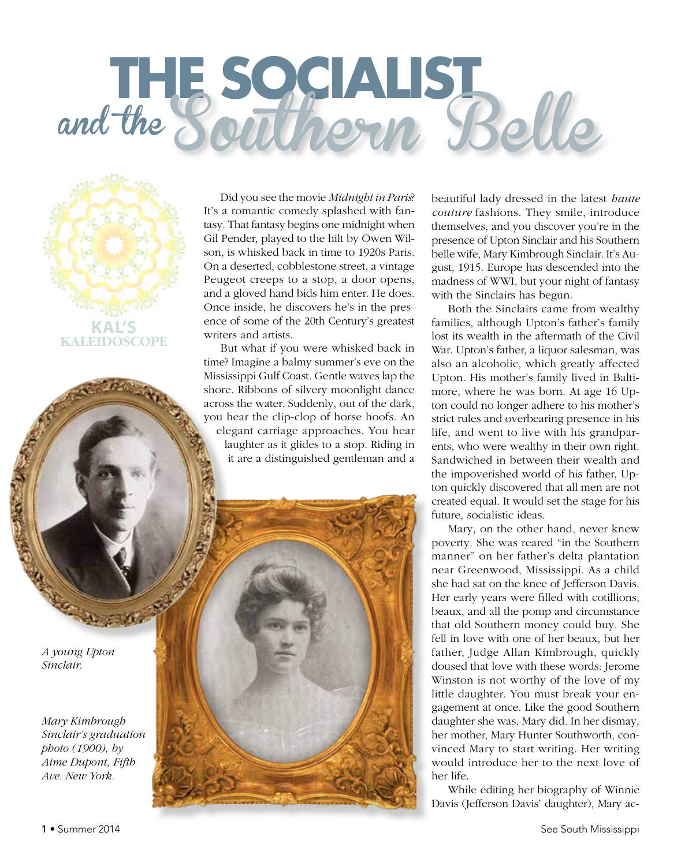## **THE SOCIALIST** and the Southern Belle



Did you see the movie *Midnight in Paris*? It's a romantic comedy splashed with fantasy. That fantasy begins one midnight when Gil Pender, played to the hilt by Owen Wilson, is whisked back in time to 1920s Paris. On a deserted, cobblestone street, a vintage Peugeot creeps to a stop, a door opens, and a gloved hand bids him enter. He does. Once inside, he discovers he's in the presence of some of the 20th Century's greatest writers and artists.

But what if you were whisked back in time? Imagine a balmy summer's eve on the Mississippi Gulf Coast. Gentle waves lap the shore. Ribbons of silvery moonlight dance across the water. Suddenly, out of the dark, you hear the clip-clop of horse hoofs. An elegant carriage approaches. You hear laughter as it glides to a stop. Riding in it are a distinguished gentleman and a

beautiful lady dressed in the latest *haute couture* fashions. They smile, introduce themselves, and you discover you're in the presence of Upton Sinclair and his Southern belle wife, Mary Kimbrough Sinclair. It's August, 1915. Europe has descended into the madness of WWI, but your night of fantasy with the Sinclairs has begun.

Both the Sinclairs came from wealthy families, although Upton's father's family lost its wealth in the aftermath of the Civil War. Upton's father, a liquor salesman, was also an alcoholic, which greatly affected Upton. His mother's family lived in Baltimore, where he was born. At age 16 Upton could no longer adhere to his mother's strict rules and overbearing presence in his life, and went to live with his grandparents, who were wealthy in their own right. Sandwiched in between their wealth and the impoverished world of his father, Upton quickly discovered that all men are not created equal. It would set the stage for his future, socialistic ideas.

Mary, on the other hand, never knew poverty. She was reared "in the Southern manner" on her father's delta plantation near Greenwood, Mississippi. As a child she had sat on the knee of Jefferson Davis. Her early years were filled with cotillions, beaux, and all the pomp and circumstance that old Southern money could buy. She fell in love with one of her beaux, but her father, Judge Allan Kimbrough, quickly doused that love with these words: Jerome Winston is not worthy of the love of my little daughter. You must break your engagement at once. Like the good Southern daughter she was, Mary did. In her dismay, her mother, Mary Hunter Southworth, convinced Mary to start writing. Her writing would introduce her to the next love of her life.

While editing her biography of Winnie Davis (Jefferson Davis' daughter), Mary ac-

*A young Upton Sinclair.*

> *Mary Kimbrough Sinclair's graduation photo (1900), by Aime Dupont, Fifth Ave. New York.*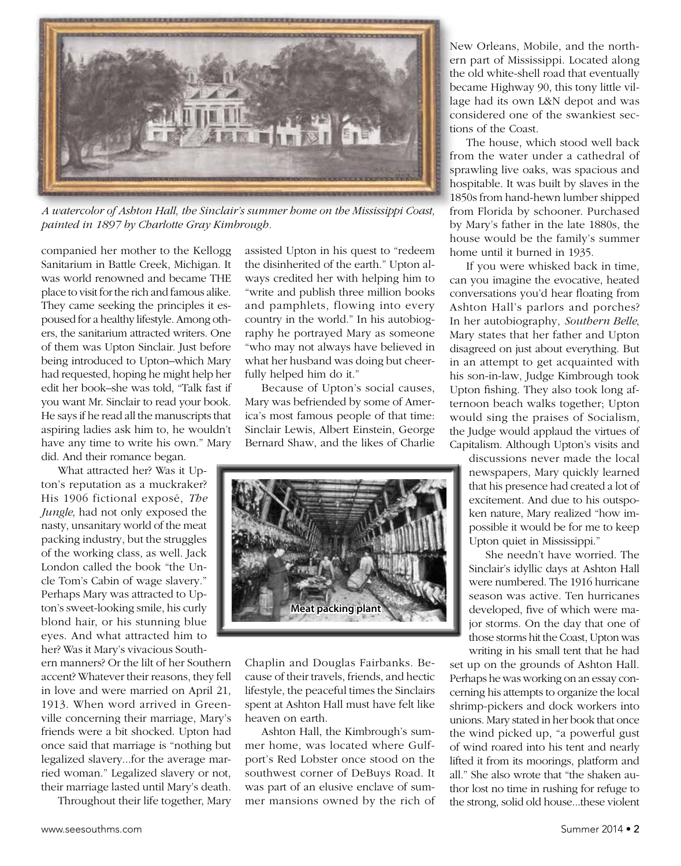

*A watercolor of Ashton Hall, the Sinclair's summer home on the Mississippi Coast, painted in 1897 by Charlotte Gray Kimbrough.*

companied her mother to the Kellogg Sanitarium in Battle Creek, Michigan. It was world renowned and became THE place to visit for the rich and famous alike. They came seeking the principles it espoused for a healthy lifestyle. Among others, the sanitarium attracted writers. One of them was Upton Sinclair. Just before being introduced to Upton–which Mary had requested, hoping he might help her edit her book–she was told, "Talk fast if you want Mr. Sinclair to read your book. He says if he read all the manuscripts that aspiring ladies ask him to, he wouldn't have any time to write his own." Mary did. And their romance began.

What attracted her? Was it Upton's reputation as a muckraker? His 1906 fictional exposé, *The Jungle*, had not only exposed the nasty, unsanitary world of the meat packing industry, but the struggles of the working class, as well. Jack London called the book "the Uncle Tom's Cabin of wage slavery." Perhaps Mary was attracted to Upton's sweet-looking smile, his curly blond hair, or his stunning blue eyes. And what attracted him to her? Was it Mary's vivacious South-

ern manners? Or the lilt of her Southern accent? Whatever their reasons, they fell in love and were married on April 21, 1913. When word arrived in Greenville concerning their marriage, Mary's friends were a bit shocked. Upton had once said that marriage is "nothing but legalized slavery...for the average married woman." Legalized slavery or not, their marriage lasted until Mary's death.

Throughout their life together, Mary

assisted Upton in his quest to "redeem the disinherited of the earth." Upton always credited her with helping him to "write and publish three million books and pamphlets, flowing into every country in the world." In his autobiography he portrayed Mary as someone "who may not always have believed in what her husband was doing but cheerfully helped him do it."

Because of Upton's social causes, Mary was befriended by some of America's most famous people of that time: Sinclair Lewis, Albert Einstein, George Bernard Shaw, and the likes of Charlie



Chaplin and Douglas Fairbanks. Because of their travels, friends, and hectic lifestyle, the peaceful times the Sinclairs spent at Ashton Hall must have felt like heaven on earth.

Ashton Hall, the Kimbrough's summer home, was located where Gulfport's Red Lobster once stood on the southwest corner of DeBuys Road. It was part of an elusive enclave of summer mansions owned by the rich of

New Orleans, Mobile, and the northern part of Mississippi. Located along the old white-shell road that eventually became Highway 90, this tony little village had its own L&N depot and was considered one of the swankiest sections of the Coast.

The house, which stood well back from the water under a cathedral of sprawling live oaks, was spacious and hospitable. It was built by slaves in the 1850s from hand-hewn lumber shipped from Florida by schooner. Purchased by Mary's father in the late 1880s, the house would be the family's summer home until it burned in 1935.

If you were whisked back in time, can you imagine the evocative, heated conversations you'd hear floating from Ashton Hall's parlors and porches? In her autobiography, *Southern Belle*, Mary states that her father and Upton disagreed on just about everything. But in an attempt to get acquainted with his son-in-law, Judge Kimbrough took Upton fishing. They also took long afternoon beach walks together; Upton would sing the praises of Socialism, the Judge would applaud the virtues of Capitalism. Although Upton's visits and

discussions never made the local newspapers, Mary quickly learned that his presence had created a lot of excitement. And due to his outspoken nature, Mary realized "how impossible it would be for me to keep Upton quiet in Mississippi."

She needn't have worried. The Sinclair's idyllic days at Ashton Hall were numbered. The 1916 hurricane season was active. Ten hurricanes developed, five of which were major storms. On the day that one of those storms hit the Coast, Upton was writing in his small tent that he had

set up on the grounds of Ashton Hall. Perhaps he was working on an essay concerning his attempts to organize the local shrimp-pickers and dock workers into unions. Mary stated in her book that once the wind picked up, "a powerful gust of wind roared into his tent and nearly lifted it from its moorings, platform and all." She also wrote that "the shaken author lost no time in rushing for refuge to the strong, solid old house...these violent